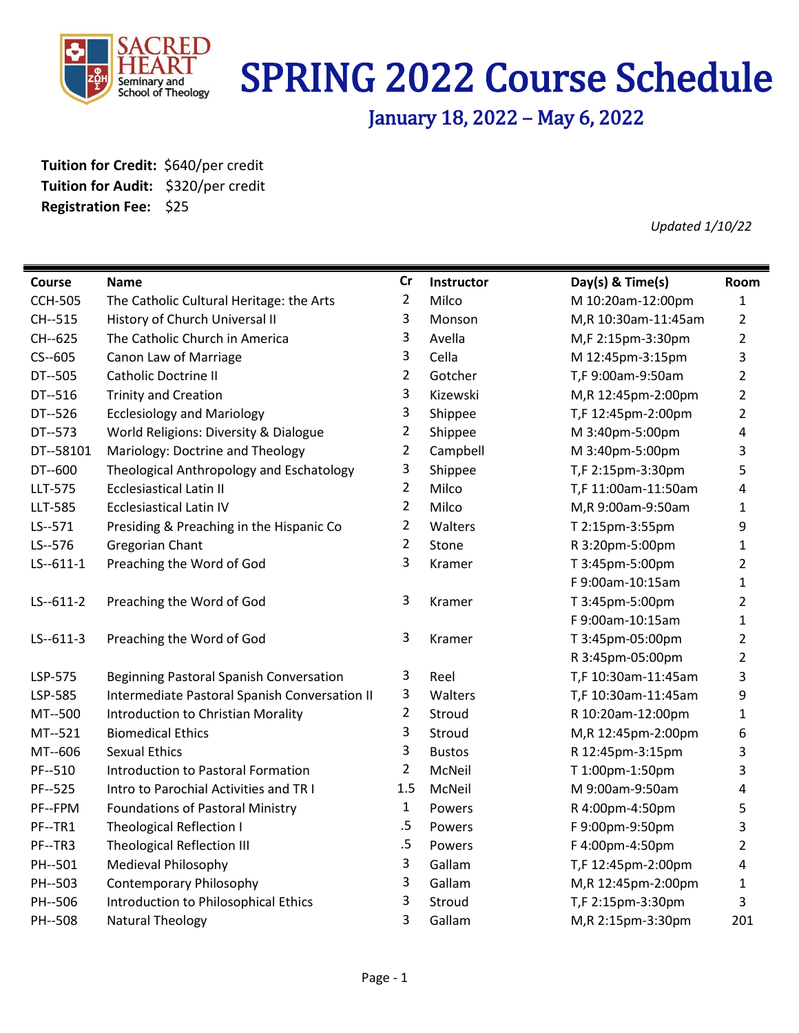

# SPRING 2022 Course Schedule

January 18, 2022 – May 6, 2022

**Tuition for Credit:** \$640/per credit **Tuition for Audit:** \$320/per credit **Registration Fee:** \$25

*Updated 1/10/22*

| <b>Course</b>  | Name                                          | Cr             | Instructor    | Day(s) & Time(s)    | Room                    |
|----------------|-----------------------------------------------|----------------|---------------|---------------------|-------------------------|
| <b>CCH-505</b> | The Catholic Cultural Heritage: the Arts      | $\overline{2}$ | Milco         | M 10:20am-12:00pm   | 1                       |
| CH--515        | History of Church Universal II                | 3              | Monson        | M,R 10:30am-11:45am | $\overline{2}$          |
| CH--625        | The Catholic Church in America                | 3              | Avella        | M,F 2:15pm-3:30pm   | $\overline{2}$          |
| $CS - 605$     | Canon Law of Marriage                         | 3              | Cella         | M 12:45pm-3:15pm    | 3                       |
| DT--505        | Catholic Doctrine II                          | $\overline{2}$ | Gotcher       | T,F 9:00am-9:50am   | $\overline{2}$          |
| DT--516        | <b>Trinity and Creation</b>                   | 3              | Kizewski      | M,R 12:45pm-2:00pm  | $\overline{2}$          |
| DT--526        | <b>Ecclesiology and Mariology</b>             | 3              | Shippee       | T,F 12:45pm-2:00pm  | $\overline{2}$          |
| DT--573        | World Religions: Diversity & Dialogue         | $\overline{2}$ | Shippee       | M 3:40pm-5:00pm     | $\overline{\mathbf{4}}$ |
| DT--58101      | Mariology: Doctrine and Theology              | $\overline{2}$ | Campbell      | M 3:40pm-5:00pm     | 3                       |
| DT--600        | Theological Anthropology and Eschatology      | 3              | Shippee       | T,F 2:15pm-3:30pm   | 5                       |
| LLT-575        | <b>Ecclesiastical Latin II</b>                | $\overline{2}$ | Milco         | T,F 11:00am-11:50am | 4                       |
| LLT-585        | <b>Ecclesiastical Latin IV</b>                | $\overline{2}$ | Milco         | M,R 9:00am-9:50am   | $\mathbf{1}$            |
| LS--571        | Presiding & Preaching in the Hispanic Co      | $\overline{2}$ | Walters       | T 2:15pm-3:55pm     | 9                       |
| LS--576        | Gregorian Chant                               | $\overline{2}$ | Stone         | R 3:20pm-5:00pm     | $\mathbf{1}$            |
| $LS - 611 - 1$ | Preaching the Word of God                     | 3              | Kramer        | T 3:45pm-5:00pm     | $\overline{2}$          |
|                |                                               |                |               | F 9:00am-10:15am    | $\mathbf 1$             |
| $LS - 611 - 2$ | Preaching the Word of God                     | 3              | Kramer        | T 3:45pm-5:00pm     | $\overline{2}$          |
|                |                                               |                |               | F 9:00am-10:15am    | $\mathbf{1}$            |
| $LS - 611 - 3$ | Preaching the Word of God                     | 3              | Kramer        | T 3:45pm-05:00pm    | $\overline{2}$          |
|                |                                               |                |               | R 3:45pm-05:00pm    | $\overline{2}$          |
| LSP-575        | Beginning Pastoral Spanish Conversation       | 3              | Reel          | T,F 10:30am-11:45am | 3                       |
| LSP-585        | Intermediate Pastoral Spanish Conversation II | 3              | Walters       | T,F 10:30am-11:45am | 9                       |
| MT--500        | Introduction to Christian Morality            | $\overline{2}$ | Stroud        | R 10:20am-12:00pm   | $\mathbf{1}$            |
| MT--521        | <b>Biomedical Ethics</b>                      | 3              | Stroud        | M,R 12:45pm-2:00pm  | 6                       |
| MT--606        | <b>Sexual Ethics</b>                          | 3              | <b>Bustos</b> | R 12:45pm-3:15pm    | 3                       |
| PF--510        | Introduction to Pastoral Formation            | $\overline{2}$ | McNeil        | T 1:00pm-1:50pm     | 3                       |
| PF--525        | Intro to Parochial Activities and TR I        | 1.5            | McNeil        | M 9:00am-9:50am     | 4                       |
| PF--FPM        | <b>Foundations of Pastoral Ministry</b>       | $\mathbf{1}$   | Powers        | R 4:00pm-4:50pm     | 5                       |
| PF--TR1        | <b>Theological Reflection I</b>               | .5             | Powers        | F 9:00pm-9:50pm     | 3                       |
| PF--TR3        | <b>Theological Reflection III</b>             | .5             | Powers        | F 4:00pm-4:50pm     | $\overline{2}$          |
| PH--501        | <b>Medieval Philosophy</b>                    | 3              | Gallam        | T,F 12:45pm-2:00pm  | 4                       |
| PH--503        | <b>Contemporary Philosophy</b>                | 3              | Gallam        | M,R 12:45pm-2:00pm  | $\mathbf{1}$            |
| PH--506        | Introduction to Philosophical Ethics          | 3              | Stroud        | T,F 2:15pm-3:30pm   | 3                       |
| PH--508        | Natural Theology                              | 3              | Gallam        | M,R 2:15pm-3:30pm   | 201                     |